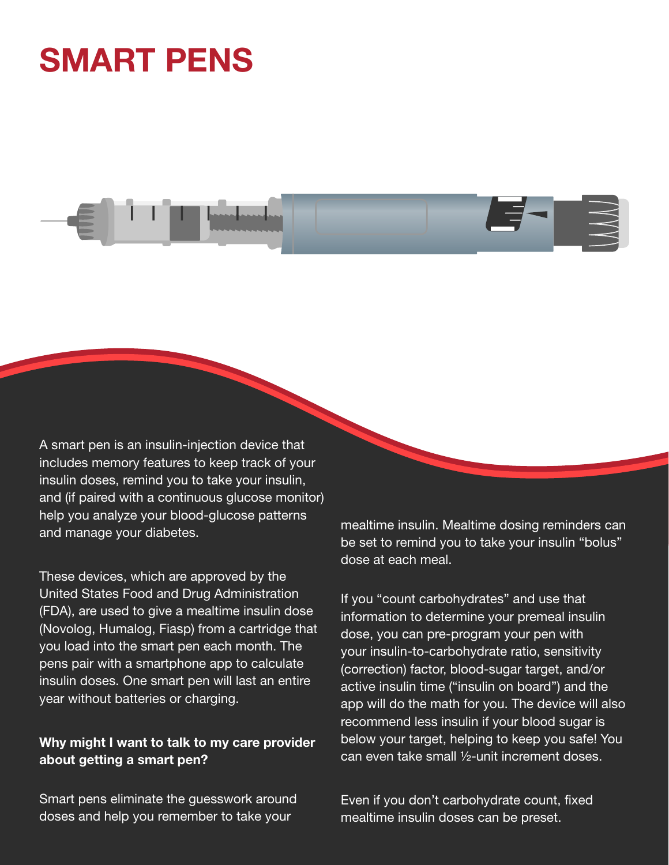## **SMART PENS**

A smart pen is an insulin-injection device that includes memory features to keep track of your insulin doses, remind you to take your insulin,

and (if paired with a continuous glucose monitor) help you analyze your blood-glucose patterns and manage your diabetes.

These devices, which are approved by the United States Food and Drug Administration (FDA), are used to give a mealtime insulin dose (Novolog, Humalog, Fiasp) from a cartridge that you load into the smart pen each month. The pens pair with a smartphone app to calculate insulin doses. One smart pen will last an entire year without batteries or charging.

## Why might I want to talk to my care provider about getting a smart pen?

Smart pens eliminate the guesswork around doses and help you remember to take your

mealtime insulin. Mealtime dosing reminders can be set to remind you to take your insulin "bolus" dose at each meal.

If you "count carbohydrates" and use that information to determine your premeal insulin dose, you can pre-program your pen with your insulin-to-carbohydrate ratio, sensitivity (correction) factor, blood-sugar target, and/or active insulin time ("insulin on board") and the app will do the math for you. The device will also recommend less insulin if your blood sugar is below your target, helping to keep you safe! You can even take small ½-unit increment doses.

Even if you don't carbohydrate count, fixed mealtime insulin doses can be preset.